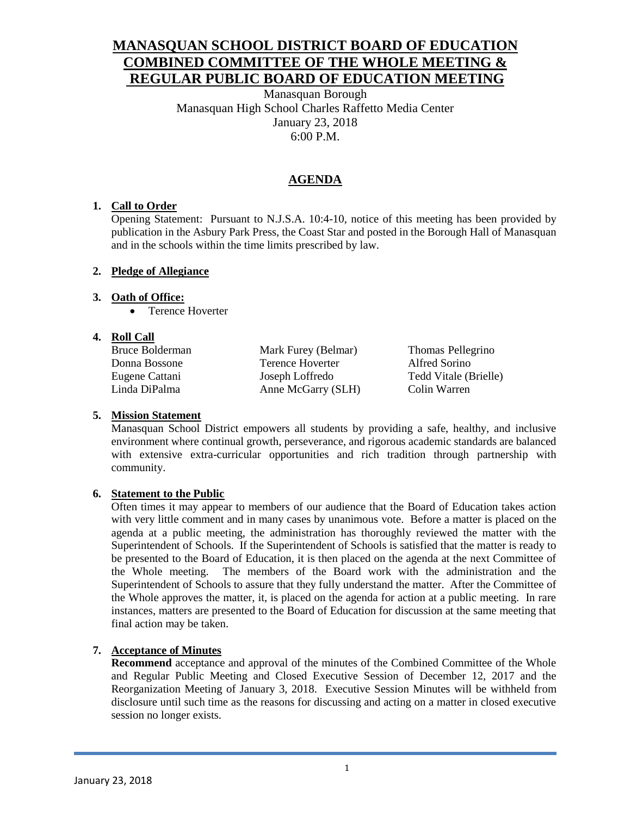# **MANASQUAN SCHOOL DISTRICT BOARD OF EDUCATION COMBINED COMMITTEE OF THE WHOLE MEETING & REGULAR PUBLIC BOARD OF EDUCATION MEETING**

Manasquan Borough Manasquan High School Charles Raffetto Media Center January 23, 2018 6:00 P.M.

# **AGENDA**

# **1. Call to Order**

Opening Statement: Pursuant to N.J.S.A. 10:4-10, notice of this meeting has been provided by publication in the Asbury Park Press, the Coast Star and posted in the Borough Hall of Manasquan and in the schools within the time limits prescribed by law.

## **2. Pledge of Allegiance**

# **3. Oath of Office:**

• Terence Hoverter

# **4. Roll Call**

Bruce Bolderman Mark Furey (Belmar) Thomas Pellegrino Donna Bossone Terence Hoverter Alfred Sorino Eugene Cattani Joseph Loffredo Tedd Vitale (Brielle) Linda DiPalma Anne McGarry (SLH) Colin Warren

## **5. Mission Statement**

Manasquan School District empowers all students by providing a safe, healthy, and inclusive environment where continual growth, perseverance, and rigorous academic standards are balanced with extensive extra-curricular opportunities and rich tradition through partnership with community.

## **6. Statement to the Public**

Often times it may appear to members of our audience that the Board of Education takes action with very little comment and in many cases by unanimous vote. Before a matter is placed on the agenda at a public meeting, the administration has thoroughly reviewed the matter with the Superintendent of Schools. If the Superintendent of Schools is satisfied that the matter is ready to be presented to the Board of Education, it is then placed on the agenda at the next Committee of the Whole meeting. The members of the Board work with the administration and the Superintendent of Schools to assure that they fully understand the matter. After the Committee of the Whole approves the matter, it, is placed on the agenda for action at a public meeting. In rare instances, matters are presented to the Board of Education for discussion at the same meeting that final action may be taken.

# **7. Acceptance of Minutes**

**Recommend** acceptance and approval of the minutes of the Combined Committee of the Whole and Regular Public Meeting and Closed Executive Session of December 12, 2017 and the Reorganization Meeting of January 3, 2018. Executive Session Minutes will be withheld from disclosure until such time as the reasons for discussing and acting on a matter in closed executive session no longer exists.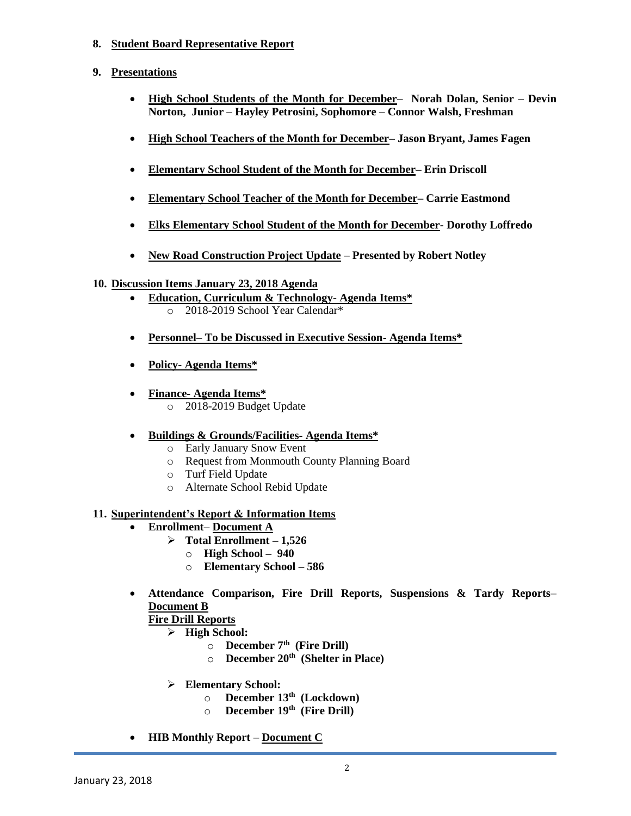- **8. Student Board Representative Report**
- **9. Presentations**
	- **High School Students of the Month for December– Norah Dolan, Senior – Devin Norton, Junior – Hayley Petrosini, Sophomore – Connor Walsh, Freshman**
	- **High School Teachers of the Month for December– Jason Bryant, James Fagen**
	- **Elementary School Student of the Month for December– Erin Driscoll**
	- **Elementary School Teacher of the Month for December– Carrie Eastmond**
	- **Elks Elementary School Student of the Month for December- Dorothy Loffredo**
	- **New Road Construction Project Update Presented by Robert Notley**

#### **10. Discussion Items January 23, 2018 Agenda**

- **Education, Curriculum & Technology- Agenda Items\***  o 2018-2019 School Year Calendar\*
- **Personnel– To be Discussed in Executive Session- Agenda Items\***
- **Policy- Agenda Items\***
- **Finance- Agenda Items\***
	- o 2018-2019 Budget Update
- **Buildings & Grounds/Facilities- Agenda Items\***
	- o Early January Snow Event
	- o Request from Monmouth County Planning Board
	- o Turf Field Update
	- o Alternate School Rebid Update

#### **11. Superintendent's Report & Information Items**

- **Enrollment Document A**
	- **Total Enrollment – 1,526**
		- o **High School – 940**
		- o **Elementary School – 586**
- **Attendance Comparison, Fire Drill Reports, Suspensions & Tardy Reports Document B**

#### **Fire Drill Reports**

- **High School:**
	- o **December 7th (Fire Drill)**
	- o **December 20th (Shelter in Place)**
- **Elementary School:**
	- o **December 13th (Lockdown)**
	- o **December 19th (Fire Drill)**
- **HIB Monthly Report Document C**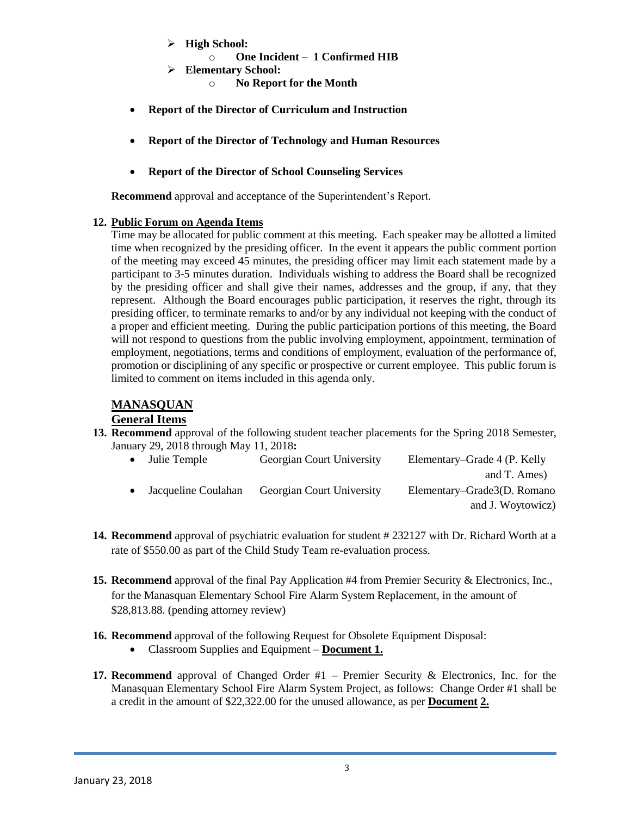- **High School:**
	- o **One Incident 1 Confirmed HIB**
- **Elementary School:**
	- o **No Report for the Month**
- **Report of the Director of Curriculum and Instruction**
- **Report of the Director of Technology and Human Resources**
- **Report of the Director of School Counseling Services**

**Recommend** approval and acceptance of the Superintendent's Report.

#### **12. Public Forum on Agenda Items**

Time may be allocated for public comment at this meeting. Each speaker may be allotted a limited time when recognized by the presiding officer. In the event it appears the public comment portion of the meeting may exceed 45 minutes, the presiding officer may limit each statement made by a participant to 3-5 minutes duration. Individuals wishing to address the Board shall be recognized by the presiding officer and shall give their names, addresses and the group, if any, that they represent. Although the Board encourages public participation, it reserves the right, through its presiding officer, to terminate remarks to and/or by any individual not keeping with the conduct of a proper and efficient meeting. During the public participation portions of this meeting, the Board will not respond to questions from the public involving employment, appointment, termination of employment, negotiations, terms and conditions of employment, evaluation of the performance of, promotion or disciplining of any specific or prospective or current employee. This public forum is limited to comment on items included in this agenda only.

## **MANASQUAN**

#### **General Items**

**13. Recommend** approval of the following student teacher placements for the Spring 2018 Semester, January 29, 2018 through May 11, 2018**:**

| • Julie Temple      | Georgian Court University | Elementary–Grade 4 (P. Kelly |
|---------------------|---------------------------|------------------------------|
|                     |                           | and T. Ames)                 |
| Jacqueline Coulahan | Georgian Court University | Elementary–Grade3(D. Romano  |
|                     |                           | and J. Woytowicz)            |

- **14. Recommend** approval of psychiatric evaluation for student # 232127 with Dr. Richard Worth at a rate of \$550.00 as part of the Child Study Team re-evaluation process.
- **15. Recommend** approval of the final Pay Application #4 from Premier Security & Electronics, Inc., for the Manasquan Elementary School Fire Alarm System Replacement, in the amount of \$28,813.88. (pending attorney review)
- **16. Recommend** approval of the following Request for Obsolete Equipment Disposal:
	- Classroom Supplies and Equipment **Document 1.**
- **17. Recommend** approval of Changed Order #1 Premier Security & Electronics, Inc. for the Manasquan Elementary School Fire Alarm System Project, as follows: Change Order #1 shall be a credit in the amount of \$22,322.00 for the unused allowance, as per **Document 2.**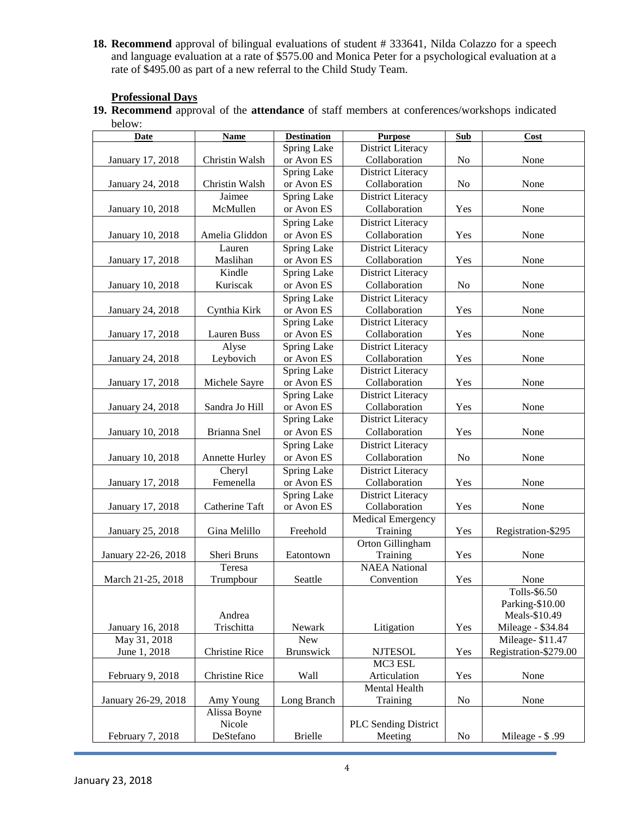18. Recommend approval of bilingual evaluations of student # 333641, Nilda Colazzo for a speech and language evaluation at a rate of \$575.00 and Monica Peter for a psychological evaluation at a rate of \$495.00 as part of a new referral to the Child Study Team.

# **Professional Days**

**19. Recommend** approval of the **attendance** of staff members at conferences/workshops indicated below:

| <b>Date</b>         | <b>Name</b>               | <b>Destination</b> | <b>Purpose</b>                                | Sub            | Cost                  |
|---------------------|---------------------------|--------------------|-----------------------------------------------|----------------|-----------------------|
|                     |                           | <b>Spring Lake</b> | <b>District Literacy</b>                      |                |                       |
| January 17, 2018    | Christin Walsh            | or Avon ES         | Collaboration                                 | No             | None                  |
|                     |                           | Spring Lake        | District Literacy                             |                |                       |
| January 24, 2018    | Christin Walsh            | or Avon ES         | Collaboration                                 | N <sub>o</sub> | None                  |
|                     | Jaimee                    | Spring Lake        | <b>District Literacy</b>                      |                |                       |
| January 10, 2018    | McMullen                  | or Avon ES         | Collaboration                                 | Yes            | None                  |
|                     |                           | Spring Lake        | District Literacy                             |                |                       |
| January 10, 2018    | Amelia Gliddon            | or Avon ES         | Collaboration                                 | Yes            | None                  |
|                     | Lauren                    | <b>Spring Lake</b> | <b>District Literacy</b>                      |                |                       |
| January 17, 2018    | Maslihan                  | or Avon ES         | Collaboration                                 | Yes            | None                  |
|                     | Kindle                    | <b>Spring Lake</b> | <b>District Literacy</b>                      |                |                       |
| January 10, 2018    | Kuriscak                  | or Avon ES         | Collaboration                                 | N <sub>0</sub> | None                  |
|                     |                           | Spring Lake        | <b>District Literacy</b>                      |                |                       |
| January 24, 2018    | Cynthia Kirk              | or Avon ES         | Collaboration                                 | Yes            | None                  |
|                     |                           | Spring Lake        | <b>District Literacy</b>                      |                |                       |
| January 17, 2018    | <b>Lauren Buss</b>        | or Avon ES         | Collaboration                                 | Yes            | None                  |
|                     | Alyse                     | Spring Lake        | <b>District Literacy</b>                      |                |                       |
| January 24, 2018    | Leybovich                 | or Avon ES         | Collaboration                                 | Yes            | None                  |
|                     |                           | Spring Lake        | <b>District Literacy</b>                      |                |                       |
| January 17, 2018    | Michele Sayre             | or Avon ES         | Collaboration                                 | Yes            | None                  |
|                     |                           | Spring Lake        | District Literacy                             |                |                       |
| January 24, 2018    | Sandra Jo Hill            | or Avon ES         | Collaboration                                 | Yes            | None                  |
|                     |                           | <b>Spring Lake</b> | District Literacy                             |                |                       |
| January 10, 2018    | Brianna Snel              | or Avon ES         | Collaboration                                 | Yes            | None                  |
|                     |                           | Spring Lake        | <b>District Literacy</b>                      |                |                       |
| January 10, 2018    | <b>Annette Hurley</b>     | or Avon ES         | Collaboration                                 | No             | None                  |
|                     | Cheryl                    | Spring Lake        | District Literacy                             |                |                       |
| January 17, 2018    | Femenella                 | or Avon ES         | Collaboration                                 | Yes            | None                  |
|                     |                           | Spring Lake        | District Literacy                             |                |                       |
| January 17, 2018    | Catherine Taft            | or Avon ES         | Collaboration                                 | Yes            | None                  |
|                     |                           |                    | <b>Medical Emergency</b>                      |                |                       |
| January 25, 2018    | Gina Melillo              | Freehold           | Training                                      | Yes            | Registration-\$295    |
|                     |                           |                    | Orton Gillingham                              |                |                       |
| January 22-26, 2018 | Sheri Bruns               | Eatontown          | Training                                      | Yes            | None                  |
|                     | Teresa                    |                    | <b>NAEA National</b>                          |                |                       |
| March 21-25, 2018   | Trumpbour                 | Seattle            | Convention                                    | Yes            | None                  |
|                     |                           |                    |                                               |                | Tolls-\$6.50          |
|                     |                           |                    |                                               |                | Parking-\$10.00       |
|                     | Andrea                    |                    |                                               |                | Meals-\$10.49         |
| January 16, 2018    | Trischitta                | Newark             | Litigation                                    | Yes            | Mileage - \$34.84     |
| May 31, 2018        |                           | <b>New</b>         |                                               |                | Mileage-\$11.47       |
| June 1, 2018        | <b>Christine Rice</b>     | Brunswick          | <b>NJTESOL</b><br>$\overline{\text{MC3}}$ ESL | Yes            | Registration-\$279.00 |
|                     |                           |                    |                                               |                |                       |
| February 9, 2018    | <b>Christine Rice</b>     | Wall               | Articulation<br>Mental Health                 | Yes            | None                  |
| January 26-29, 2018 |                           | Long Branch        | Training                                      |                |                       |
|                     | Amy Young<br>Alissa Boyne |                    |                                               | No             | None                  |
|                     | Nicole                    |                    | <b>PLC Sending District</b>                   |                |                       |
| February 7, 2018    | DeStefano                 | <b>Brielle</b>     | Meeting                                       | N <sub>0</sub> | Mileage - \$.99       |
|                     |                           |                    |                                               |                |                       |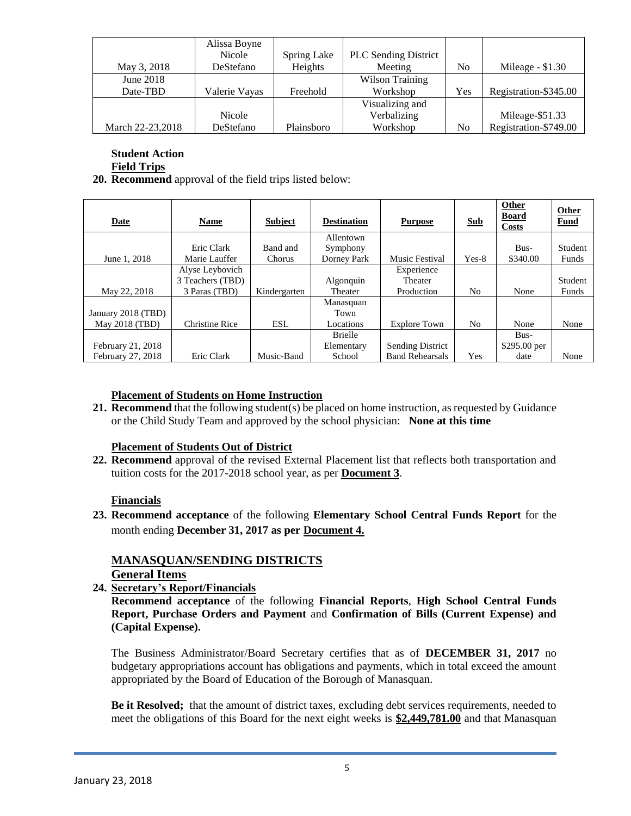|                  | Alissa Boyne  |             |                             |                |                       |
|------------------|---------------|-------------|-----------------------------|----------------|-----------------------|
|                  | Nicole        | Spring Lake | <b>PLC Sending District</b> |                |                       |
| May 3, 2018      | DeStefano     | Heights     | Meeting                     | N <sub>0</sub> | Mileage $- $1.30$     |
| June 2018        |               |             | <b>Wilson Training</b>      |                |                       |
| Date-TBD         | Valerie Vayas | Freehold    | Workshop                    | Yes            | Registration-\$345.00 |
|                  |               |             | Visualizing and             |                |                       |
|                  | Nicole        |             | Verbalizing                 |                | Mileage-\$51.33       |
| March 22-23,2018 | DeStefano     | Plainsboro  | Workshop                    | No             | Registration-\$749.00 |

# **Student Action**

**Field Trips**

**20. Recommend** approval of the field trips listed below:

| <b>Date</b>        | <b>Name</b>           | <b>Subject</b> | <b>Destination</b> | <b>Purpose</b>         | <b>Sub</b> | <b>Other</b><br><b>Board</b><br>Costs | Other<br><b>Fund</b> |
|--------------------|-----------------------|----------------|--------------------|------------------------|------------|---------------------------------------|----------------------|
|                    |                       |                | Allentown          |                        |            |                                       |                      |
|                    | Eric Clark            | Band and       | Symphony           |                        |            | Bus-                                  | Student              |
| June 1, 2018       | Marie Lauffer         | Chorus         | Dorney Park        | <b>Music Festival</b>  | $Yes-8$    | \$340.00                              | Funds                |
|                    | Alyse Leybovich       |                |                    | Experience             |            |                                       |                      |
|                    | 3 Teachers (TBD)      |                | Algonquin          | Theater                |            |                                       | Student              |
| May 22, 2018       | 3 Paras (TBD)         | Kindergarten   | Theater            | Production             | No         | None                                  | Funds                |
|                    |                       |                | Manasquan          |                        |            |                                       |                      |
| January 2018 (TBD) |                       |                | Town               |                        |            |                                       |                      |
| May 2018 (TBD)     | <b>Christine Rice</b> | ESL            | Locations          | <b>Explore Town</b>    | No         | None                                  | None                 |
|                    |                       |                | <b>Brielle</b>     |                        |            | Bus-                                  |                      |
| February 21, 2018  |                       |                | Elementary         | Sending District       |            | \$295.00 per                          |                      |
| February 27, 2018  | Eric Clark            | Music-Band     | School             | <b>Band Rehearsals</b> | Yes        | date                                  | None                 |

# **Placement of Students on Home Instruction**

**21. Recommend** that the following student(s) be placed on home instruction, as requested by Guidance or the Child Study Team and approved by the school physician: **None at this time**

# **Placement of Students Out of District**

**22. Recommend** approval of the revised External Placement list that reflects both transportation and tuition costs for the 2017-2018 school year, as per **Document 3**.

# **Financials**

**23. Recommend acceptance** of the following **Elementary School Central Funds Report** for the month ending **December 31, 2017 as per Document 4.**

# **MANASQUAN/SENDING DISTRICTS**

# **General Items**

**24. Secretary's Report/Financials**

**Recommend acceptance** of the following **Financial Reports**, **High School Central Funds Report, Purchase Orders and Payment** and **Confirmation of Bills (Current Expense) and (Capital Expense).**

The Business Administrator/Board Secretary certifies that as of **DECEMBER 31, 2017** no budgetary appropriations account has obligations and payments, which in total exceed the amount appropriated by the Board of Education of the Borough of Manasquan.

**Be it Resolved;** that the amount of district taxes, excluding debt services requirements, needed to meet the obligations of this Board for the next eight weeks is **\$2,449,781.00** and that Manasquan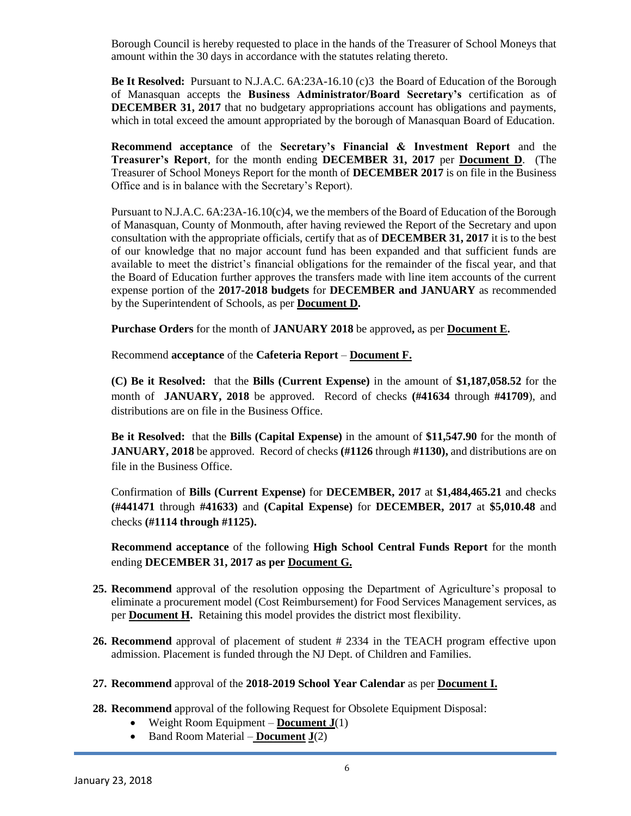Borough Council is hereby requested to place in the hands of the Treasurer of School Moneys that amount within the 30 days in accordance with the statutes relating thereto.

**Be It Resolved:** Pursuant to N.J.A.C. 6A:23A-16.10 (c)3 the Board of Education of the Borough of Manasquan accepts the **Business Administrator/Board Secretary's** certification as of **DECEMBER 31, 2017** that no budgetary appropriations account has obligations and payments, which in total exceed the amount appropriated by the borough of Manasquan Board of Education.

**Recommend acceptance** of the **Secretary's Financial & Investment Report** and the **Treasurer's Report**, for the month ending **DECEMBER 31, 2017** per **Document D**. (The Treasurer of School Moneys Report for the month of **DECEMBER 2017** is on file in the Business Office and is in balance with the Secretary's Report).

Pursuant to N.J.A.C. 6A:23A-16.10(c)4, we the members of the Board of Education of the Borough of Manasquan, County of Monmouth, after having reviewed the Report of the Secretary and upon consultation with the appropriate officials, certify that as of **DECEMBER 31, 2017** it is to the best of our knowledge that no major account fund has been expanded and that sufficient funds are available to meet the district's financial obligations for the remainder of the fiscal year, and that the Board of Education further approves the transfers made with line item accounts of the current expense portion of the **2017-2018 budgets** for **DECEMBER and JANUARY** as recommended by the Superintendent of Schools, as per **Document D.**

**Purchase Orders** for the month of **JANUARY 2018** be approved**,** as per **Document E.**

Recommend **acceptance** of the **Cafeteria Report** – **Document F.**

**(C) Be it Resolved:** that the **Bills (Current Expense)** in the amount of **\$1,187,058.52** for the month of **JANUARY, 2018** be approved. Record of checks **(#41634** through **#41709**), and distributions are on file in the Business Office.

**Be it Resolved:** that the **Bills (Capital Expense)** in the amount of **\$11,547.90** for the month of **JANUARY, 2018** be approved. Record of checks **(#1126** through **#1130),** and distributions are on file in the Business Office.

Confirmation of **Bills (Current Expense)** for **DECEMBER, 2017** at **\$1,484,465.21** and checks **(#441471** through **#41633)** and **(Capital Expense)** for **DECEMBER, 2017** at **\$5,010.48** and checks **(#1114 through #1125).**

**Recommend acceptance** of the following **High School Central Funds Report** for the month ending **DECEMBER 31, 2017 as per Document G.**

- **25. Recommend** approval of the resolution opposing the Department of Agriculture's proposal to eliminate a procurement model (Cost Reimbursement) for Food Services Management services, as per **Document H.** Retaining this model provides the district most flexibility.
- **26. Recommend** approval of placement of student # 2334 in the TEACH program effective upon admission. Placement is funded through the NJ Dept. of Children and Families.
- **27. Recommend** approval of the **2018-2019 School Year Calendar** as per **Document I.**
- **28. Recommend** approval of the following Request for Obsolete Equipment Disposal:
	- Weight Room Equipment **Document J**(1)
	- Band Room Material **Document J**(2)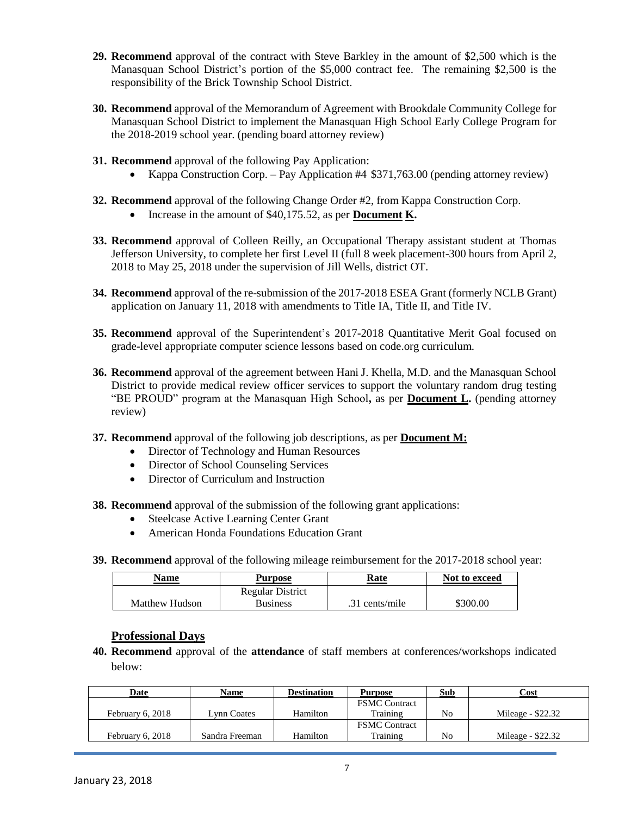- **29. Recommend** approval of the contract with Steve Barkley in the amount of \$2,500 which is the Manasquan School District's portion of the \$5,000 contract fee. The remaining \$2,500 is the responsibility of the Brick Township School District.
- **30. Recommend** approval of the Memorandum of Agreement with Brookdale Community College for Manasquan School District to implement the Manasquan High School Early College Program for the 2018-2019 school year. (pending board attorney review)
- **31. Recommend** approval of the following Pay Application:
	- Kappa Construction Corp. Pay Application #4 \$371,763.00 (pending attorney review)
- **32. Recommend** approval of the following Change Order #2, from Kappa Construction Corp.
	- Increase in the amount of \$40,175.52, as per **Document K.**
- **33. Recommend** approval of Colleen Reilly, an Occupational Therapy assistant student at Thomas Jefferson University, to complete her first Level II (full 8 week placement-300 hours from April 2, 2018 to May 25, 2018 under the supervision of Jill Wells, district OT.
- **34. Recommend** approval of the re-submission of the 2017-2018 ESEA Grant (formerly NCLB Grant) application on January 11, 2018 with amendments to Title IA, Title II, and Title IV.
- **35. Recommend** approval of the Superintendent's 2017-2018 Quantitative Merit Goal focused on grade-level appropriate computer science lessons based on code.org curriculum.
- **36. Recommend** approval of the agreement between Hani J. Khella, M.D. and the Manasquan School District to provide medical review officer services to support the voluntary random drug testing "BE PROUD" program at the Manasquan High School**,** as per **Document L.** (pending attorney review)
- **37. Recommend** approval of the following job descriptions, as per **Document M:**
	- Director of Technology and Human Resources
	- Director of School Counseling Services
	- Director of Curriculum and Instruction
- **38. Recommend** approval of the submission of the following grant applications:
	- Steelcase Active Learning Center Grant
	- American Honda Foundations Education Grant
- **39. Recommend** approval of the following mileage reimbursement for the 2017-2018 school year:

| Name           | <b>Purpose</b>          | Rate           | Not to exceed |
|----------------|-------------------------|----------------|---------------|
|                | <b>Regular District</b> |                |               |
| Matthew Hudson | <b>Business</b>         | .31 cents/mile | \$300.00      |

## **Professional Days**

**40. Recommend** approval of the **attendance** of staff members at conferences/workshops indicated below:

| Date             | Name           | <b>Destination</b> | Purpose              | Sub | Cost              |
|------------------|----------------|--------------------|----------------------|-----|-------------------|
|                  |                |                    | <b>FSMC Contract</b> |     |                   |
| February 6, 2018 | Lvnn Coates    | Hamilton           | Training             | No  | Mileage - \$22.32 |
|                  |                |                    | <b>FSMC</b> Contract |     |                   |
| February 6, 2018 | Sandra Freeman | Hamilton           | Training             | No  | Mileage - \$22.32 |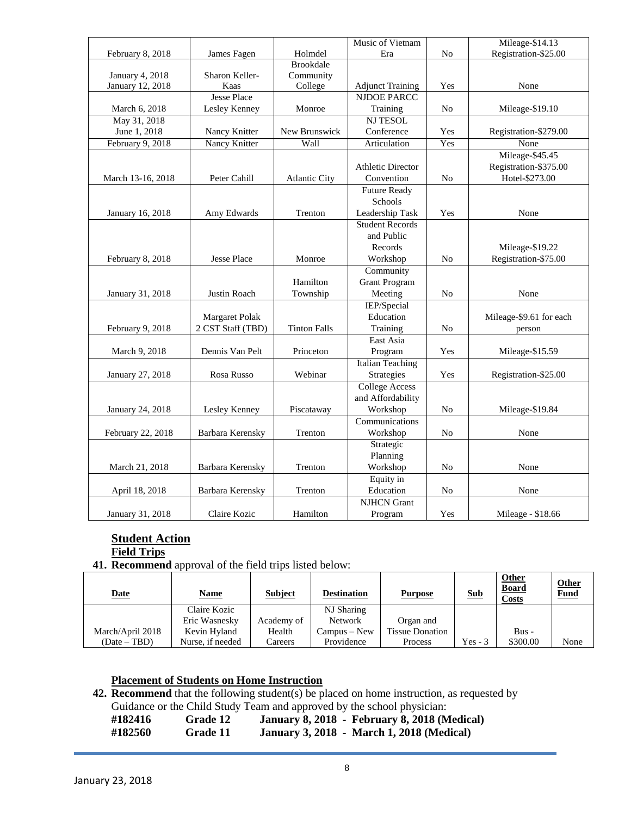|                   |                    |                      | Music of Vietnam         |                | Mileage-\$14.13         |
|-------------------|--------------------|----------------------|--------------------------|----------------|-------------------------|
| February 8, 2018  | James Fagen        | Holmdel              | Era                      | N <sub>o</sub> | Registration-\$25.00    |
|                   |                    | <b>Brookdale</b>     |                          |                |                         |
| January 4, 2018   | Sharon Keller-     | Community            |                          |                |                         |
| January 12, 2018  | Kaas               | College              | <b>Adjunct Training</b>  | Yes            | None                    |
|                   | <b>Jesse Place</b> |                      | <b>NJDOE PARCC</b>       |                |                         |
| March 6, 2018     | Lesley Kenney      | Monroe               | Training                 | No             | Mileage-\$19.10         |
| May 31, 2018      |                    |                      | <b>NJ TESOL</b>          |                |                         |
| June 1, 2018      | Nancy Knitter      | New Brunswick        | Conference               | Yes            | Registration-\$279.00   |
| February 9, 2018  | Nancy Knitter      | Wall                 | Articulation             | Yes            | None                    |
|                   |                    |                      |                          |                | Mileage-\$45.45         |
|                   |                    |                      | <b>Athletic Director</b> |                | Registration-\$375.00   |
| March 13-16, 2018 | Peter Cahill       | <b>Atlantic City</b> | Convention               | No             | Hotel-\$273.00          |
|                   |                    |                      | <b>Future Ready</b>      |                |                         |
|                   |                    |                      | Schools                  |                |                         |
| January 16, 2018  | Amy Edwards        | Trenton              | Leadership Task          | Yes            | None                    |
|                   |                    |                      | <b>Student Records</b>   |                |                         |
|                   |                    |                      | and Public               |                |                         |
|                   |                    |                      | Records                  |                | Mileage-\$19.22         |
| February 8, 2018  | <b>Jesse Place</b> | Monroe               | Workshop                 | No             | Registration-\$75.00    |
|                   |                    |                      | Community                |                |                         |
|                   |                    | Hamilton             | <b>Grant Program</b>     |                |                         |
| January 31, 2018  | Justin Roach       | Township             | Meeting                  | No             | None                    |
|                   |                    |                      | IEP/Special              |                |                         |
|                   | Margaret Polak     |                      | Education                |                | Mileage-\$9.61 for each |
| February 9, 2018  | 2 CST Staff (TBD)  | <b>Tinton Falls</b>  | Training                 | No             | person                  |
|                   |                    |                      | East Asia                |                |                         |
| March 9, 2018     | Dennis Van Pelt    | Princeton            | Program                  | Yes            | Mileage-\$15.59         |
|                   |                    |                      | <b>Italian Teaching</b>  |                |                         |
| January 27, 2018  | Rosa Russo         | Webinar              | Strategies               | Yes            | Registration-\$25.00    |
|                   |                    |                      | <b>College Access</b>    |                |                         |
|                   |                    |                      | and Affordability        |                |                         |
| January 24, 2018  | Lesley Kenney      | Piscataway           | Workshop                 | No             | Mileage-\$19.84         |
|                   |                    |                      | Communications           |                |                         |
| February 22, 2018 | Barbara Kerensky   | Trenton              | Workshop                 | No             | None                    |
|                   |                    |                      | Strategic                |                |                         |
|                   |                    |                      | Planning                 |                |                         |
| March 21, 2018    | Barbara Kerensky   | Trenton              | Workshop                 | No             | None                    |
|                   |                    |                      | Equity in                |                |                         |
| April 18, 2018    | Barbara Kerensky   | Trenton              | Education                | No             | None                    |
|                   |                    |                      | <b>NJHCN</b> Grant       |                |                         |
| January 31, 2018  | Claire Kozic       | Hamilton             | Program                  | Yes            | Mileage - \$18.66       |

# **Student Action**

**Field Trips**

**41. Recommend** approval of the field trips listed below:

| <b>Date</b>      | <u>Name</u>      | <b>Subject</b> | <b>Destination</b> | <b>Purpose</b>         | <b>Sub</b> | <b>Other</b><br><b>Board</b><br>Costs | <b>Other</b><br><b>Fund</b> |
|------------------|------------------|----------------|--------------------|------------------------|------------|---------------------------------------|-----------------------------|
|                  | Claire Kozic     |                | NJ Sharing         |                        |            |                                       |                             |
|                  | Eric Wasnesky    | Academy of     | Network            | Organ and              |            |                                       |                             |
| March/April 2018 | Kevin Hyland     | Health         | Campus – New       | <b>Tissue Donation</b> |            | $Bus -$                               |                             |
| $(Date - TBD)$   | Nurse, if needed | Careers        | Providence         | Process                | $Yes - 3$  | \$300.00                              | None                        |

## **Placement of Students on Home Instruction**

**42. Recommend** that the following student(s) be placed on home instruction, as requested by Guidance or the Child Study Team and approved by the school physician:

| #182416 | Grade 12 | $\sim$ | January 8, 2018 - February 8, 2018 (Medical)     |
|---------|----------|--------|--------------------------------------------------|
| #182560 | Grade 11 |        | <b>January 3, 2018 - March 1, 2018 (Medical)</b> |